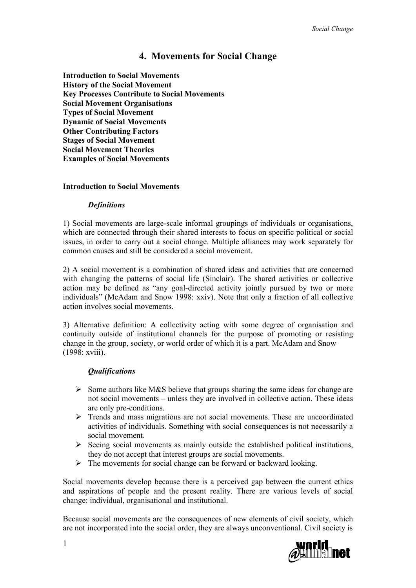# **4. Movements for Social Change**

**Introduction to Social Movements History of the Social Movement Key Processes Contribute to Social Movements Social Movement Organisations Types of Social Movement Dynamic of Social Movements Other Contributing Factors Stages of Social Movement Social Movement Theories Examples of Social Movements**

## **Introduction to Social Movements**

## *Definitions*

1) Social movements are large-scale informal groupings of individuals or organisations, which are connected through their shared interests to focus on specific political or social issues, in order to carry out a social change. Multiple alliances may work separately for common causes and still be considered a social movement.

2) A social movement is a combination of shared ideas and activities that are concerned with changing the patterns of social life (Sinclair). The shared activities or collective action may be defined as "any goal-directed activity jointly pursued by two or more individuals" (McAdam and Snow 1998: xxiv). Note that only a fraction of all collective action involves social movements.

3) Alternative definition: A collectivity acting with some degree of organisation and continuity outside of institutional channels for the purpose of promoting or resisting change in the group, society, or world order of which it is a part. McAdam and Snow (1998: xviii).

# *Qualifications*

- $\triangleright$  Some authors like M&S believe that groups sharing the same ideas for change are not social movements – unless they are involved in collective action. These ideas are only pre-conditions.
- $\triangleright$  Trends and mass migrations are not social movements. These are uncoordinated activities of individuals. Something with social consequences is not necessarily a social movement.
- $\triangleright$  Seeing social movements as mainly outside the established political institutions, they do not accept that interest groups are social movements.
- $\triangleright$  The movements for social change can be forward or backward looking.

Social movements develop because there is a perceived gap between the current ethics and aspirations of people and the present reality. There are various levels of social change: individual, organisational and institutional.

Because social movements are the consequences of new elements of civil society, which are not incorporated into the social order, they are always unconventional. Civil society is

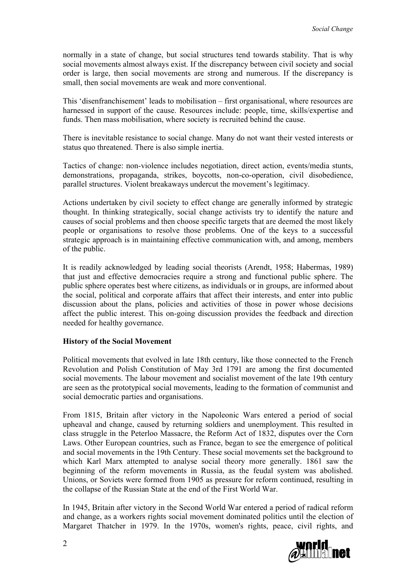normally in a state of change, but social structures tend towards stability. That is why social movements almost always exist. If the discrepancy between civil society and social order is large, then social movements are strong and numerous. If the discrepancy is small, then social movements are weak and more conventional.

This 'disenfranchisement' leads to mobilisation – first organisational, where resources are harnessed in support of the cause. Resources include: people, time, skills/expertise and funds. Then mass mobilisation, where society is recruited behind the cause.

There is inevitable resistance to social change. Many do not want their vested interests or status quo threatened. There is also simple inertia.

Tactics of change: non-violence includes negotiation, direct action, events/media stunts, demonstrations, propaganda, strikes, boycotts, non-co-operation, civil disobedience, parallel structures. Violent breakaways undercut the movement's legitimacy.

Actions undertaken by civil society to effect change are generally informed by strategic thought. In thinking strategically, social change activists try to identify the nature and causes of social problems and then choose specific targets that are deemed the most likely people or organisations to resolve those problems. One of the keys to a successful strategic approach is in maintaining effective communication with, and among, members of the public.

It is readily acknowledged by leading social theorists (Arendt, 1958; Habermas, 1989) that just and effective democracies require a strong and functional public sphere. The public sphere operates best where citizens, as individuals or in groups, are informed about the social, political and corporate affairs that affect their interests, and enter into public discussion about the plans, policies and activities of those in power whose decisions affect the public interest. This on-going discussion provides the feedback and direction needed for healthy governance.

#### **History of the Social Movement**

[Political movements](http://en.wikipedia.org/wiki/Political_movement) that evolved in late [18th century](http://en.wikipedia.org/wiki/18th_century), like those connected to the [French](http://en.wikipedia.org/wiki/French_Revolution)  [Revolution](http://en.wikipedia.org/wiki/French_Revolution) and [Polish Constitution of May 3rd 1791](http://en.wikipedia.org/wiki/Polish_Constitution_of_May_3%2C_1791) are among the first documented social movements. The [labour movement](http://en.wikipedia.org/wiki/Labor_movement) and [socialist movement](http://en.wikipedia.org/wiki/Socialist_movement) of the late [19th century](http://en.wikipedia.org/wiki/19th_century) are seen as the prototypical social movements, leading to the formation of [communist](http://en.wikipedia.org/wiki/Communism) and [social democratic](http://en.wikipedia.org/wiki/Social_democracy) parties and organisations.

From [1815,](http://en.wikipedia.org/wiki/1815) [Britain](http://en.wikipedia.org/wiki/Britain) after victory in the [Napoleonic Wars](http://en.wikipedia.org/wiki/Napoleonic_Wars) entered a period of social upheaval and change, caused by returning soldiers and unemployment. This resulted in [class struggle](http://en.wikipedia.org/wiki/Class_struggle) in the [Peterloo Massacre,](http://en.wikipedia.org/wiki/Peterloo_Massacre) the [Reform Act of 1832,](http://en.wikipedia.org/wiki/Reform_Act_1832) disputes over the [Corn](http://en.wikipedia.org/wiki/Corn_laws)  [Laws.](http://en.wikipedia.org/wiki/Corn_laws) Other European countries, such as France, began to see the emergence of political and social movements in the 19th Century. These social movements set the background to which [Karl Marx](http://en.wikipedia.org/wiki/Karl_Marx) attempted to analyse social theory more generally. [1861](http://en.wikipedia.org/wiki/1861) saw the beginning of the reform movements in Russia, as the feudal system was abolished. Unions, or Soviets were formed from [1905](http://en.wikipedia.org/wiki/1905) as pressure for reform continued, resulting in the collapse of the Russian State at the end of the [First World War.](http://en.wikipedia.org/wiki/World_War_I)

In 1945, [Britain](http://en.wikipedia.org/wiki/Britain) after victory in the [Second World War](http://en.wikipedia.org/wiki/Second_World_War) entered a period of radical reform and change, as a workers rights social movement dominated politics until the election of Margaret Thatcher in [1979.](http://en.wikipedia.org/wiki/1979) In the [1970s,](http://en.wikipedia.org/wiki/1970s) [women's rights](http://en.wikipedia.org/wiki/Women%27s_rights), [peace,](http://en.wikipedia.org/wiki/Peace_movement) [civil rights,](http://en.wikipedia.org/wiki/Civil_rights_movement) and

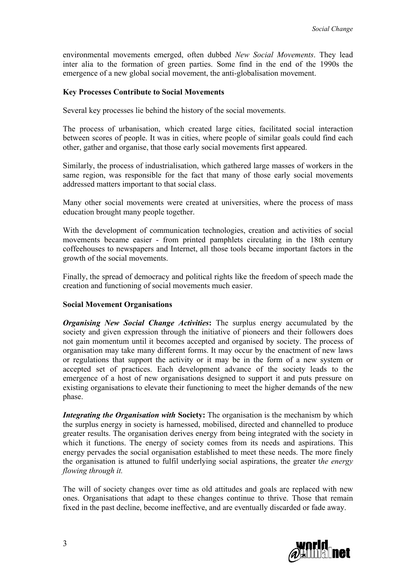[environmental movements](http://en.wikipedia.org/wiki/Environmental_movement) emerged, often dubbed *New Social Movements*. They lead inter alia to the formation of [green parties.](http://en.wikipedia.org/wiki/Green_parties) Some find in the end of the [1990s](http://en.wikipedia.org/wiki/1990s) the emergence of a new global social movement, the [anti-globalisation movement.](http://en.wikipedia.org/wiki/Anti-globalization_movement)

## **Key Processes Contribute to Social Movements**

Several key processes lie behind the history of the social movements.

The process of [urbanisation,](http://en.wikipedia.org/wiki/Urbanisation) which created large cities, facilitated [social interaction](http://en.wikipedia.org/wiki/Social_interaction) between scores of people. It was in cities, where people of similar goals could find each other, gather and organise, that those early social movements first appeared.

Similarly, the process of [industrialisation,](http://en.wikipedia.org/wiki/Industrialisation) which gathered large masses of workers in the same region, was responsible for the fact that many of those early social movements addressed matters important to that [social class.](http://en.wikipedia.org/wiki/Social_class)

Many other social movements were created at [universities,](http://en.wikipedia.org/wiki/University) where the process of [mass](http://en.wikipedia.org/wiki/Mass_education)  [education](http://en.wikipedia.org/wiki/Mass_education) brought many people together.

With the development of [communication](http://en.wikipedia.org/wiki/Communication) technologies, creation and activities of social movements became easier - from printed pamphlets circulating in the [18th century](http://en.wikipedia.org/wiki/18th_century) [coffeehouses](http://en.wikipedia.org/wiki/Coffeehouse) to [newspapers](http://en.wikipedia.org/wiki/Newspaper) and [Internet](http://en.wikipedia.org/wiki/Internet), all those tools became important factors in the growth of the social movements.

Finally, the spread of [democracy](http://en.wikipedia.org/wiki/Democracy) and [political rights](http://en.wikipedia.org/wiki/Political_right) like the [freedom of speech](http://en.wikipedia.org/wiki/Freedom_of_speech) made the creation and functioning of social movements much easier.

#### **Social Movement Organisations**

*Organising New Social Change Activities***:** The surplus energy accumulated by the society and given expression through the initiative of pioneers and their followers does not gain momentum until it becomes accepted and organised by society. The process of organisation may take many different forms. It may occur by the enactment of new laws or regulations that support the activity or it may be in the form of a new system or accepted set of practices. Each development advance of the society leads to the emergence of a host of new organisations designed to support it and puts pressure on existing organisations to elevate their functioning to meet the higher demands of the new phase.

*Integrating the Organisation with Society:* The organisation is the mechanism by which the surplus energy in society is harnessed, mobilised, directed and channelled to produce greater results. The organisation derives energy from being integrated with the society in which it functions. The energy of society comes from its needs and aspirations. This energy pervades the social organisation established to meet these needs. The more finely the organisation is attuned to fulfil underlying social aspirations, the greater t*he energy flowing through it.* 

The will of society changes over time as old attitudes and goals are replaced with new ones. Organisations that adapt to these changes continue to thrive. Those that remain fixed in the past decline, become ineffective, and are eventually discarded or fade away.

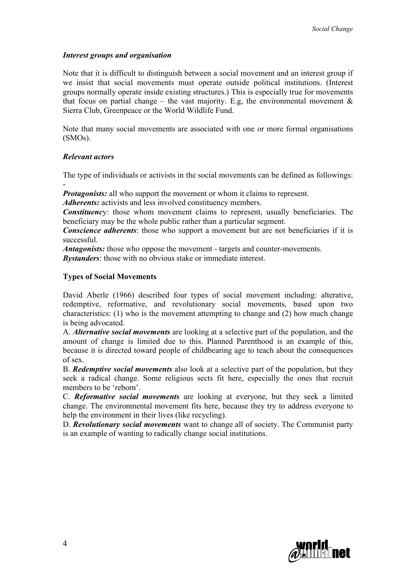# *Interest groups and organisation*

Note that it is difficult to distinguish between a social movement and an interest group if we insist that social movements must operate outside political institutions. (Interest groups normally operate inside existing structures.) This is especially true for movements that focus on partial change – the vast majority. E.g, the environmental movement  $\&$ Sierra Club, Greenpeace or the World Wildlife Fund.

Note that many social movements are associated with one or more formal organisations (SMOs).

## *Relevant actors*

-

The type of individuals or activists in the social movements can be defined as followings:

*Protagonists:* all who support the movement or whom it claims to represent.

*Adherents:* activists and less involved constituency members.

*Constituenc*y: those whom movement claims to represent, usually beneficiaries. The beneficiary may be the whole public rather than a particular segment.

*Conscience adherents*: those who support a movement but are not beneficiaries if it is successful.

*Antagonists:* those who oppose the movement - targets and counter-movements.

*Bystanders*: those with no obvious stake or immediate interest.

# **Types of Social Movements**

David Aberle (1966) described four types of social movement including: alterative, redemptive, reformative, and revolutionary social movements, based upon two characteristics: (1) who is the movement attempting to change and (2) how much change is being advocated.

A. *Alternative social movements* are looking at a selective part of the population, and the amount of change is limited due to this. Planned Parenthood is an example of this, because it is directed toward people of childbearing age to teach about the consequences of sex.

B. *Redemptive social movements* also look at a selective part of the population, but they seek a radical change. Some religious sects fit here, especially the ones that recruit members to be 'reborn'.

C. *Reformative social movements* are looking at everyone, but they seek a limited change. The environmental movement fits here, because they try to address everyone to help the environment in their lives (like recycling).

D. *Revolutionary social movements* want to change all of society. The Communist party is an example of wanting to radically change social institutions.

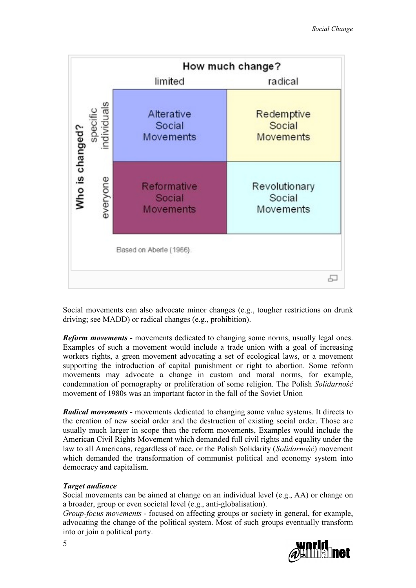

Social movements can also advocate minor changes (e.g., tougher restrictions on drunk driving; see [MADD](http://en.wikipedia.org/wiki/Mothers_Against_Drunk_Driving)) or radical changes (e.g., [prohibition\)](http://en.wikipedia.org/wiki/prohibition).

*Reform movements* - movements dedicated to changing some [norms](http://en.wikipedia.org/wiki/Norm_%28sociology%29), usually legal ones. Examples of such a movement would include a [trade union](http://en.wikipedia.org/wiki/Trade_union) with a goal of increasing workers rights, a [green movement](http://en.wikipedia.org/wiki/Green_movement) advocating a set of [ecological](http://en.wikipedia.org/wiki/Ecology) laws, or a movement supporting the introduction of [capital punishment](http://en.wikipedia.org/wiki/Capital_punishment) or right to [abortion.](http://en.wikipedia.org/wiki/Abortion) Some reform movements may advocate a change in custom and moral norms, for example, condemnation of [pornography](http://en.wikipedia.org/wiki/Pornography) or proliferation of some [religion.](http://en.wikipedia.org/wiki/Religion) The Polish *[Solidarno](http://en.wikipedia.org/wiki/Solidarnosc)ść* movement of [1980s](http://en.wikipedia.org/wiki/1980s) was an important factor in the [fall of the Soviet Union](http://en.wikipedia.org/wiki/Fall_of_the_Soviet_Union)

*Radical movements* - movements dedicated to changing some [value systems](http://en.wikipedia.org/wiki/Value_system). It directs to the creation of new social order and the destruction of existing social order. Those are usually much larger in scope then the reform movements, Examples would include the [American Civil Rights Movement](http://en.wikipedia.org/wiki/American_Civil_Rights_Movement_%281955-1968%29) which demanded full civil rights and equality under the law to all Americans, regardless of [race](http://en.wikipedia.org/wiki/Race), or the [Polish](http://en.wikipedia.org/wiki/Poland) [Solidarity](http://en.wikipedia.org/wiki/Solidarity) (*Solidarność*) movement which demanded the transformation of [communist](http://en.wikipedia.org/wiki/Communism) [political](http://en.wikipedia.org/wiki/Political_system) and [economy system](http://en.wikipedia.org/wiki/Economy_system) into [democracy](http://en.wikipedia.org/wiki/Democracy) and [capitalism](http://en.wikipedia.org/wiki/Capitalism).

# *Target audience*

Social movements can be aimed at change on an individual level (e.g., [AA\)](http://en.wikipedia.org/wiki/Alcoholics_Anonymous) or change on a broader, group or even societal level (e.g., [anti-globalisation\)](http://en.wikipedia.org/wiki/anti-globalization_movement).

*Group-focus movements* - focused on affecting groups or society in general, for example, advocating the change of the political system. Most of such groups eventually transform into or join a [political party](http://en.wikipedia.org/wiki/Political_party).

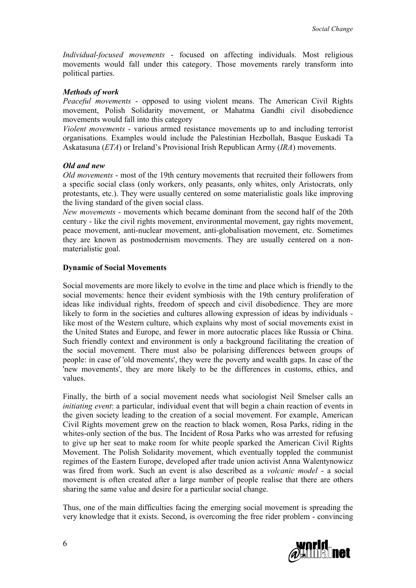*Individual-focused movements* - focused on affecting individuals. Most [religious](http://en.wikipedia.org/wiki/Religious_movement)  [movements](http://en.wikipedia.org/wiki/Religious_movement) would fall under this category. Those movements rarely transform into political parties.

## *Methods of work*

*Peaceful movements* - opposed to using violent means. The American Civil Rights movement, Polish Solidarity movement, or [Mahatma Gandhi](http://en.wikipedia.org/wiki/Mahatma_Gandhi) [civil disobedience](http://en.wikipedia.org/wiki/Civil_disobedience) movements would fall into this category

*Violent movements* - various armed [resistance movements](http://en.wikipedia.org/wiki/Resistance_movement) up to and including [terrorist](http://en.wikipedia.org/wiki/Terrorist) organisations. Examples would include the [Palestinian](http://en.wikipedia.org/wiki/Palestine) [Hezbollah](http://en.wikipedia.org/wiki/Hezbollah), [Basque](http://en.wikipedia.org/wiki/Basque) [Euskadi Ta](http://en.wikipedia.org/wiki/Euskadi_Ta_Askatasuna)  [Askatasuna](http://en.wikipedia.org/wiki/Euskadi_Ta_Askatasuna) (*ETA*) or [Ireland](http://en.wikipedia.org/wiki/Ireland)'s [Provisional Irish Republican Army](http://en.wikipedia.org/wiki/Provisional_Irish_Republican_Army) (*IRA*) movements.

## *Old and new*

*Old movements* - most of the 19th century movements that recruited their followers from a specific [social class](http://en.wikipedia.org/wiki/Social_class) (only workers, only peasants, only whites, only Aristocrats, only protestants, etc.). They were usually centered on some [materialistic](http://en.wikipedia.org/wiki/Materialism) goals like improving the [living standard](http://en.wikipedia.org/w/index.php?title=Life_standard&action=edit) of the given social class.

*New movements* - movements which became dominant from the second half of the 20th century - like the [civil rights movement](http://en.wikipedia.org/wiki/Civil_rights_movement), [environmental movement,](http://en.wikipedia.org/wiki/Environmental_movement) [gay rights movement,](http://en.wikipedia.org/wiki/Gay_rights_movement) [peace movement](http://en.wikipedia.org/wiki/Peace_movement), [anti-nuclear movement,](http://en.wikipedia.org/wiki/Anti-nuclear_movement) [anti-globalisation movement,](http://en.wikipedia.org/wiki/Anti-globalization_movement) etc. Sometimes they are known as [postmodernism](http://en.wikipedia.org/wiki/Postmodernism) movements. They are usually centered on a nonmaterialistic goal.

## **Dynamic of Social Movements**

Social movements are more likely to evolve in the time and place which is friendly to the social movements: hence their evident symbiosis with the 19th century proliferation of ideas like individual rights, freedom of speech and civil disobedience. They are more likely to form in the societies and cultures allowing expression of ideas by individuals like most of the [Western culture,](http://en.wikipedia.org/wiki/Western_culture) which explains why most of social movements exist in the United States and Europe, and fewer in more autocratic places like Russia or China. Such friendly context and environment is only a background facilitating the creation of the social movement. There must also be polarising differences between groups of people: in case of 'old movements', they were the [poverty](http://en.wikipedia.org/wiki/Poverty) and [wealth gaps](http://en.wikipedia.org/w/index.php?title=Wealth_gap&action=edit). In case of the 'new movements', they are more likely to be the differences in customs, ethics, and values.

Finally, the birth of a social movement needs what sociologist [Neil Smelser](http://en.wikipedia.org/wiki/Neil_Smelser) calls an *initiating event*: a particular, individual event that will begin a [chain reaction](http://en.wikipedia.org/wiki/Chain_reaction) of events in the given society leading to the creation of a social movement. For example, American Civil Rights movement grew on the reaction to black women, [Rosa Parks](http://en.wikipedia.org/wiki/Rosa_Parks), riding in the whites-only section of the bus. The Incident of [Rosa Parks](http://en.wikipedia.org/wiki/Rosa_Parks) who was arrested for refusing to give up her seat to make room for white people sparked the American Civil Rights Movement. The Polish Solidarity movement, which eventually toppled the communist regimes of the Eastern Europe, developed after [trade union](http://en.wikipedia.org/wiki/Trade_union) activist [Anna Walentynowicz](http://en.wikipedia.org/w/index.php?title=Anna_Walentynowicz&action=edit) was fired from work. Such an event is also described as a *volcanic model* - a social movement is often created after a large number of people realise that there are others sharing the same value and desire for a particular [social change](http://en.wikipedia.org/wiki/Social_change).

Thus, one of the main difficulties facing the emerging social movement is spreading the very knowledge that it exists. Second, is overcoming the [free rider problem](http://en.wikipedia.org/wiki/Free_rider_problem) - convincing

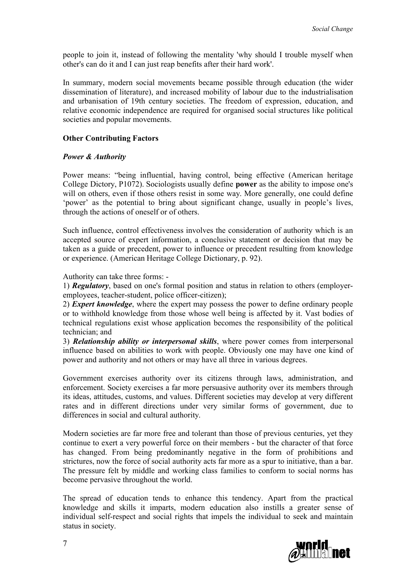people to join it, instead of following the mentality 'why should I trouble myself when other's can do it and I can just reap benefits after their hard work'.

In summary, modern social movements became possible through [education](http://en.wikipedia.org/wiki/Education) (the wider dissemination of [literature\)](http://en.wikipedia.org/wiki/Literature), and increased mobility of labour due to the [industrialisation](http://en.wikipedia.org/wiki/Industrialisation) and [urbanisation](http://en.wikipedia.org/wiki/Urbanisation) of [19th century](http://en.wikipedia.org/wiki/19th_century) societies. The freedom of expression, education, and relative economic independence are required for organised social structures like political societies and popular movements.

#### **Other Contributing Factors**

#### *Power & Authority*

Power means: "being influential, having control, being effective (American heritage College Dictory, P1072). Sociologists usually define **power** as the ability to impose one's [will](http://en.wikipedia.org/wiki/Will_%28philosophy%29) on others, even if those others [resist](http://en.wikipedia.org/wiki/Resistance) in some way. More generally, one could define 'power' as the potential to bring about significant [change,](http://en.wikipedia.org/wiki/Change) usually in people's [lives,](http://en.wikipedia.org/wiki/Personal_life) through the actions of oneself or of others.

Such influence, control effectiveness involves the consideration of authority which is an accepted source of expert information, a conclusive statement or decision that may be taken as a guide or precedent, power to influence or precedent resulting from knowledge or experience. (American Heritage College Dictionary, p. 92).

Authority can take three forms: -

1) *Regulatory*, based on one's formal position and status in relation to others (employeremployees, teacher-student, police officer-citizen);

2) *Expert knowledge*, where the expert may possess the power to define ordinary people or to withhold knowledge from those whose well being is affected by it. Vast bodies of technical regulations exist whose application becomes the responsibility of the political technician; and

3) *Relationship ability or interpersonal skills*, where power comes from interpersonal influence based on abilities to work with people. Obviously one may have one kind of power and authority and not others or may have all three in various degrees.

Government exercises authority over its citizens through laws, administration, and enforcement. Society exercises a far more persuasive authority over its members through its ideas, attitudes, customs, and values. Different societies may develop at very different rates and in different directions under very similar forms of government, due to differences in social and cultural authority.

Modern societies are far more free and tolerant than those of previous centuries, yet they continue to exert a very powerful force on their members - but the character of that force has changed. From being predominantly negative in the form of prohibitions and strictures, now the force of social authority acts far more as a spur to initiative, than a bar. The pressure felt by middle and working class families to conform to social norms has become pervasive throughout the world.

The spread of education tends to enhance this tendency. Apart from the practical knowledge and skills it imparts, modern education also instills a greater sense of individual self-respect and social rights that impels the individual to seek and maintain status in society.

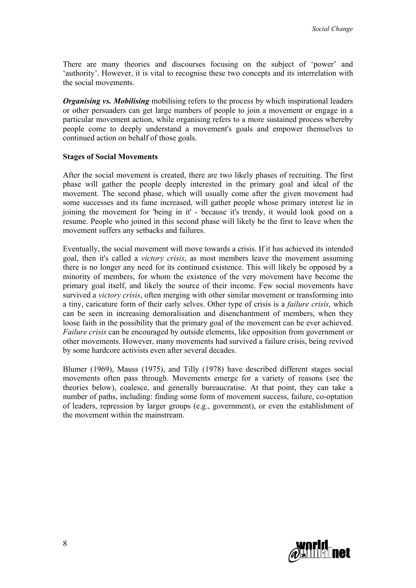There are many theories and discourses focusing on the subject of 'power' and 'authority'. However, it is vital to recognise these two concepts and its interrelation with the social movements.

*Organising vs. Mobilising* mobilising refers to the process by which inspirational leaders or other persuaders can get large numbers of people to join a movement or engage in a particular movement action, while organising refers to a more sustained process whereby people come to deeply understand a movement's goals and empower themselves to continued action on behalf of those goals.

#### **Stages of Social Movements**

After the social movement is created, there are two likely phases of recruiting. The first phase will gather the people deeply interested in the primary goal and ideal of the movement. The second phase, which will usually come after the given movement had some successes and its fame increased, will gather people whose primary interest lie in joining the movement for 'being in it' - because it's trendy, it would look good on a [resume](http://en.wikipedia.org/wiki/Resume). People who joined in this second phase will likely be the first to leave when the movement suffers any setbacks and failures.

Eventually, the social movement will move towards a crisis. If it has achieved its intended goal, then it's called a *[victory crisis](http://en.wikipedia.org/w/index.php?title=Victory_crisis&action=edit)*, as most members leave the movement assuming there is no longer any need for its continued existence. This will likely be opposed by a minority of members, for whom the existence of the very movement have become the primary goal itself, and likely the source of their income. Few social movements have survived a *victory crisis*, often merging with other similar movement or transforming into a tiny, caricature form of their early selves. Other type of crisis is a *[failure crisis](http://en.wikipedia.org/w/index.php?title=Failure_crisis&action=edit)*, which can be seen in increasing demoralisation and disenchantment of members, when they loose faith in the possibility that the primary goal of the movement can be ever achieved. *Failure crisis* can be encouraged by outside elements, like opposition from government or other movements. However, many movements had survived a failure crisis, being revived by some hardcore activists even after several decades.

Blumer (1969), Mauss (1975), and Tilly (1978) have described different stages social movements often pass through. Movements emerge for a variety of reasons (see the theories below), coalesce, and generally bureaucratise. At that point, they can take a number of paths, including: finding some form of movement success, failure, co-optation of leaders, repression by larger groups (e.g., government), or even the establishment of the movement within the mainstream.

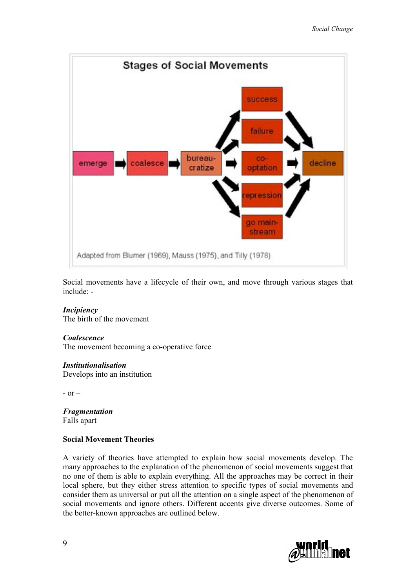

Social movements have a lifecycle of their own, and move through various stages that include: -

#### *Incipiency*

The birth of the movement

#### *Coalescence*

The movement becoming a co-operative force

#### *Institutionalisation*

Develops into an institution

 $-$  or  $-$ 

*Fragmentation* Falls apart

#### **Social Movement Theories**

A variety of theories have attempted to explain how social movements develop. The many approaches to the explanation of the phenomenon of social movements suggest that no one of them is able to explain everything. All the approaches may be correct in their local sphere, but they either stress attention to specific types of social movements and consider them as universal or put all the attention on a single aspect of the phenomenon of social movements and ignore others. Different accents give diverse outcomes. Some of the better-known approaches are outlined below.

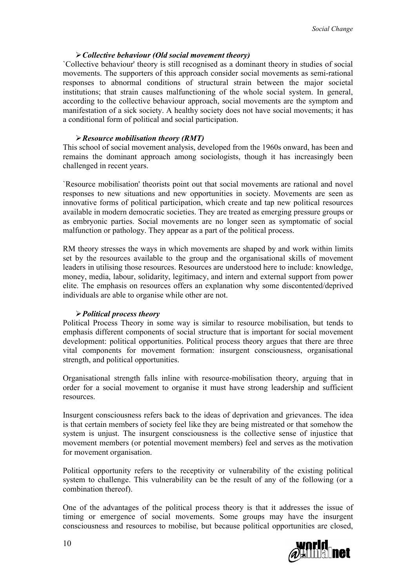## *Collective behaviour (Old social movement theory)*

`Collective behaviour' theory is still recognised as a dominant theory in studies of social movements. The supporters of this approach consider social movements as semi-rational responses to abnormal conditions of structural strain between the major societal institutions; that strain causes malfunctioning of the whole social system. In general, according to the collective behaviour approach, social movements are the symptom and manifestation of a sick society. A healthy society does not have social movements; it has a conditional form of political and social participation.

# *Resource mobilisation theory (RMT)*

This school of social movement analysis, developed from the 1960s onward, has been and remains the dominant approach among sociologists, though it has increasingly been challenged in recent years.

`Resource mobilisation' theorists point out that social movements are rational and novel responses to new situations and new opportunities in society. Movements are seen as innovative forms of political participation, which create and tap new political resources available in modern democratic societies. They are treated as emerging pressure groups or as embryonic parties. Social movements are no longer seen as symptomatic of social malfunction or pathology. They appear as a part of the political process.

RM theory stresses the ways in which movements are shaped by and work within limits set by the resources available to the group and the organisational skills of movement leaders in utilising those resources. Resources are understood here to include: knowledge, money, media, labour, solidarity, legitimacy, and intern and external support from power elite. The emphasis on resources offers an explanation why some discontented/deprived individuals are able to organise while other are not.

#### *Political process theory*

Political Process Theory in some way is similar to resource mobilisation, but tends to emphasis different components of social structure that is important for social movement development: political opportunities. Political process theory argues that there are three vital components for movement formation: insurgent consciousness, organisational strength, and political opportunities.

Organisational strength falls inline with resource-mobilisation theory, arguing that in order for a social movement to organise it must have strong leadership and sufficient resources.

Insurgent consciousness refers back to the ideas of deprivation and grievances. The idea is that certain members of society feel like they are being mistreated or that somehow the system is unjust. The insurgent consciousness is the collective sense of injustice that movement members (or potential movement members) feel and serves as the motivation for movement organisation.

Political opportunity refers to the receptivity or vulnerability of the existing political system to challenge. This vulnerability can be the result of any of the following (or a combination thereof).

One of the advantages of the political process theory is that it addresses the issue of timing or emergence of social movements. Some groups may have the insurgent consciousness and resources to mobilise, but because political opportunities are closed,

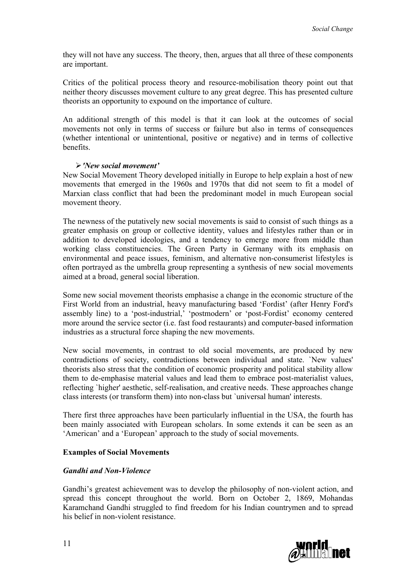they will not have any success. The theory, then, argues that all three of these components are important.

Critics of the political process theory and resource-mobilisation theory point out that neither theory discusses movement culture to any great degree. This has presented culture theorists an opportunity to expound on the importance of culture.

An additional strength of this model is that it can look at the outcomes of social movements not only in terms of success or failure but also in terms of consequences (whether intentional or unintentional, positive or negative) and in terms of [collective](http://en.wikipedia.org/wiki/collective_benefits)  [benefits](http://en.wikipedia.org/wiki/collective_benefits).

## *'New social movement'*

New Social Movement Theory developed initially in Europe to help explain a host of new movements that emerged in the 1960s and 1970s that did not seem to fit a model of Marxian class conflict that had been the predominant model in much European social movement theory.

The newness of the putatively new social movements is said to consist of such things as a greater emphasis on group or collective identity, values and lifestyles rather than or in addition to developed ideologies, and a tendency to emerge more from middle than working class constituencies. The Green Party in Germany with its emphasis on environmental and peace issues, feminism, and alternative non-consumerist lifestyles is often portrayed as the umbrella group representing a synthesis of new social movements aimed at a broad, general social liberation.

Some new social movement theorists emphasise a change in the economic structure of the First World from an industrial, heavy manufacturing based 'Fordist' (after Henry Ford's assembly line) to a 'post-industrial,' 'postmodern' or 'post-Fordist' economy centered more around the service sector (i.e. fast food restaurants) and computer-based information industries as a structural force shaping the new movements.

New social movements, in contrast to old social movements, are produced by new contradictions of society, contradictions between individual and state. `New values' theorists also stress that the condition of economic prosperity and political stability allow them to de-emphasise material values and lead them to embrace post-materialist values, reflecting `higher' aesthetic, self-realisation, and creative needs. These approaches change class interests (or transform them) into non-class but `universal human' interests.

There first three approaches have been particularly influential in the USA, the fourth has been mainly associated with European scholars. In some extends it can be seen as an 'American' and a 'European' approach to the study of social movements.

# **Examples of Social Movements**

#### *Gandhi and Non-Violence*

Gandhi's greatest achievement was to develop the philosophy of non-violent action, and spread this concept throughout the world. Born on October 2, 1869, Mohandas Karamchand Gandhi struggled to find freedom for his Indian countrymen and to spread his belief in non-violent resistance.

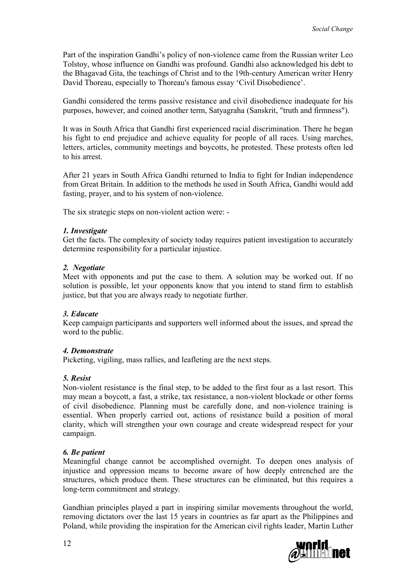Part of the inspiration Gandhi's policy of non-violence came from the Russian writer Leo Tolstoy, whose influence on Gandhi was profound. Gandhi also acknowledged his debt to the Bhagavad Gita, the teachings of Christ and to the 19th-century American writer Henry David Thoreau, especially to Thoreau's famous essay 'Civil Disobedience'.

Gandhi considered the terms passive resistance and civil disobedience inadequate for his purposes, however, and coined another term, Satyagraha (Sanskrit, "truth and firmness").

It was in South Africa that Gandhi first experienced racial discrimination. There he began his fight to end prejudice and achieve equality for people of all races. Using marches, letters, articles, community meetings and boycotts, he protested. These protests often led to his arrest.

After 21 years in South Africa Gandhi returned to India to fight for Indian independence from Great Britain. In addition to the methods he used in South Africa, Gandhi would add fasting, prayer, and to his system of non-violence.

The six strategic steps on non-violent action were: -

## *1. Investigate*

Get the facts. The complexity of society today requires patient investigation to accurately determine responsibility for a particular injustice.

## *2. Negotiate*

Meet with opponents and put the case to them. A solution may be worked out. If no solution is possible, let your opponents know that you intend to stand firm to establish justice, but that you are always ready to negotiate further.

# *3. Educate*

Keep campaign participants and supporters well informed about the issues, and spread the word to the public.

# *4. Demonstrate*

Picketing, vigiling, mass rallies, and leafleting are the next steps.

# *5. Resist*

Non-violent resistance is the final step, to be added to the first four as a last resort. This may mean a boycott, a fast, a strike, tax resistance, a non-violent blockade or other forms of civil disobedience. Planning must be carefully done, and non-violence training is essential. When properly carried out, actions of resistance build a position of moral clarity, which will strengthen your own courage and create widespread respect for your campaign.

# *6. Be patient*

Meaningful change cannot be accomplished overnight. To deepen ones analysis of injustice and oppression means to become aware of how deeply entrenched are the structures, which produce them. These structures can be eliminated, but this requires a long-term commitment and strategy.

Gandhian principles played a part in inspiring similar movements throughout the world, removing dictators over the last 15 years in countries as far apart as the Philippines and Poland, while providing the inspiration for the American civil rights leader, Martin Luther

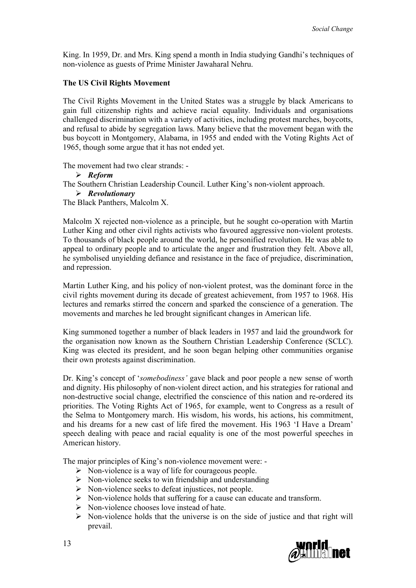King. In 1959, Dr. and Mrs. King spend a month in India studying Gandhi's techniques of non-violence as guests of Prime Minister Jawaharal Nehru.

#### **The US Civil Rights Movement**

The Civil Rights Movement in the United States was a struggle by black Americans to gain full citizenship rights and achieve racial equality. Individuals and organisations challenged discrimination with a variety of activities, including protest marches, boycotts, and refusal to abide by segregation laws. Many believe that the movement began with the bus boycott in Montgomery, Alabama, in 1955 and ended with the Voting Rights Act of 1965, though some argue that it has not ended yet.

The movement had two clear strands: -

*Reform*

The Southern Christian Leadership Council. Luther King's non-violent approach.

```
 Revolutionary
```
The Black Panthers, Malcolm X.

Malcolm X rejected non-violence as a principle, but he sought co-operation with Martin Luther King and other civil rights activists who favoured aggressive non-violent protests. To thousands of black people around the world, he personified revolution. He was able to appeal to ordinary people and to articulate the anger and frustration they felt. Above all, he symbolised unyielding defiance and resistance in the face of prejudice, discrimination, and repression.

Martin Luther King, and his policy of non-violent protest, was the dominant force in the civil rights movement during its decade of greatest achievement, from 1957 to 1968. His lectures and remarks stirred the concern and sparked the conscience of a generation. The movements and marches he led brought significant changes in American life.

King summoned together a number of black leaders in 1957 and laid the groundwork for the organisation now known as the Southern Christian Leadership Conference (SCLC). King was elected its president, and he soon began helping other communities organise their own protests against discrimination.

Dr. King's concept of '*somebodiness'* gave black and poor people a new sense of worth and dignity. His philosophy of non-violent direct action, and his strategies for rational and non-destructive social change, electrified the conscience of this nation and re-ordered its priorities. The Voting Rights Act of 1965, for example, went to Congress as a result of the Selma to Montgomery march. His wisdom, his words, his actions, his commitment, and his dreams for a new cast of life fired the movement. His 1963 'I Have a Dream' speech dealing with peace and racial equality is one of the most powerful speeches in American history.

The major principles of King's non-violence movement were: -

- $\triangleright$  Non-violence is a way of life for courageous people.
- $\triangleright$  Non-violence seeks to win friendship and understanding
- $\triangleright$  Non-violence seeks to defeat injustices, not people.
- $\triangleright$  Non-violence holds that suffering for a cause can educate and transform.
- $\triangleright$  Non-violence chooses love instead of hate.
- $\triangleright$  Non-violence holds that the universe is on the side of justice and that right will prevail.

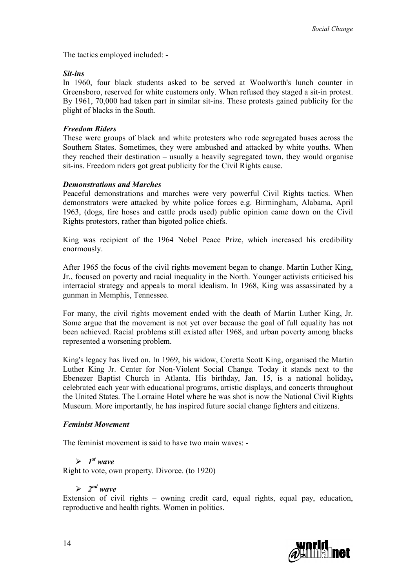The tactics employed included: -

# *Sit-ins*

In 1960, four black students asked to be served at Woolworth's lunch counter in Greensboro, reserved for white customers only. When refused they staged a sit-in protest. By 1961, 70,000 had taken part in similar sit-ins. These protests gained publicity for the plight of blacks in the South.

# *Freedom Riders*

These were groups of black and white protesters who rode segregated buses across the Southern States. Sometimes, they were ambushed and attacked by white youths. When they reached their destination – usually a heavily segregated town, they would organise sit-ins. Freedom riders got great publicity for the Civil Rights cause.

## *Demonstrations and Marches*

Peaceful demonstrations and marches were very powerful Civil Rights tactics. When demonstrators were attacked by white police forces e.g. Birmingham, Alabama, April 1963, (dogs, fire hoses and cattle prods used) public opinion came down on the Civil Rights protestors, rather than bigoted police chiefs.

King was recipient of the 1964 Nobel Peace Prize, which increased his credibility enormously.

After 1965 the focus of the civil rights movement began to change. Martin Luther King, Jr., focused on poverty and racial inequality in the North. Younger activists criticised his interracial strategy and appeals to moral idealism. In 1968, King was assassinated by a gunman in Memphis, Tennessee.

For many, the civil rights movement ended with the death of Martin Luther King, Jr. Some argue that the movement is not yet over because the goal of full equality has not been achieved. Racial problems still existed after 1968, and urban poverty among blacks represented a worsening problem.

King's legacy has lived on. In 1969, his widow, Coretta Scott King, organised the [Martin](http://www.thekingcenter.org/)  [Luther King Jr. Center for Non-Violent Social Change](http://www.thekingcenter.org/)*.* Today it stands next to the Ebenezer Baptist Church in Atlanta. His birthday, Jan. 15, is a [national holiday](http://seattletimes.nwsource.com/mlk/perspectives/holiday/)**,**  celebrated each year with educational programs, artistic displays, and concerts throughout the United States. The Lorraine Hotel where he was shot is now the [National Civil Rights](http://www.civilrightsmuseum.org/)  [Museum](http://www.civilrightsmuseum.org/). More importantly, he has inspired future social change fighters and citizens.

# *Feminist Movement*

The feminist movement is said to have two main waves: -

#### $\sum I^{st}$  wave

Right to vote, own property. Divorce. (to 1920)

#### $\sum 2^{nd}$  wave

Extension of civil rights – owning credit card, equal rights, equal pay, education, reproductive and health rights. Women in politics.

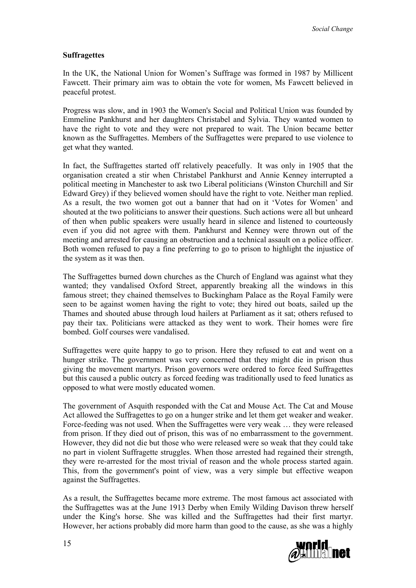## **Suffragettes**

In the UK, the National Union for Women's Suffrage was formed in 1987 by Millicent Fawcett. Their primary aim was to obtain the vote for women, Ms Fawcett believed in peaceful protest.

Progress was slow, and in 1903 the [Women's Social and Political Union](http://www.historylearningsite.co.uk/women) was founded by [Emmeline Pankhurst](http://www.historylearningsite.co.uk/emmeline_pankhurst.htm) and her daughters Christabel and Sylvia. They wanted women to have the right to vote and they were not prepared to wait. The Union became better known as the Suffragettes. Members of the Suffragettes were prepared to use violence to get what they wanted.

In fact, the Suffragettes started off relatively peacefully. It was only in 1905 that the organisation created a stir when Christabel Pankhurst and Annie Kenney interrupted a political meeting in Manchester to ask two Liberal politicians [\(Winston Churchill](http://tceplus.com/churchil.htm) and Sir Edward Grey) if they believed women should have the right to vote. Neither man replied. As a result, the two women got out a banner that had on it 'Votes for Women' and shouted at the two politicians to answer their questions. Such actions were all but unheard of then when public speakers were usually heard in silence and listened to courteously even if you did not agree with them. Pankhurst and Kenney were thrown out of the meeting and arrested for causing an obstruction and a technical assault on a police officer. Both women refused to pay a fine preferring to go to prison to highlight the injustice of the system as it was then.

The Suffragettes burned down churches as the Church of England was against what they wanted; they vandalised Oxford Street, apparently breaking all the windows in this famous street; they chained themselves to Buckingham Palace as the Royal Family were seen to be against women having the right to vote; they hired out boats, sailed up the Thames and shouted abuse through loud hailers at Parliament as it sat; others refused to pay their tax. Politicians were attacked as they went to work. Their homes were fire bombed. Golf courses were vandalised.

Suffragettes were quite happy to go to prison. Here they refused to eat and went on a hunger strike. The government was very concerned that they might die in prison thus giving the movement martyrs. Prison governors were ordered to force feed Suffragettes but this caused a public outcry as forced feeding was traditionally used to feed lunatics as opposed to what were mostly educated women.

The government of Asquith responded with the Cat and Mouse Act. The Cat and Mouse Act allowed the Suffragettes to go on a hunger strike and let them get weaker and weaker. Force-feeding was not used. When the Suffragettes were very weak … they were released from prison. If they died out of prison, this was of no embarrassment to the government. However, they did not die but those who were released were so weak that they could take no part in violent Suffragette struggles. When those arrested had regained their strength, they were re-arrested for the most trivial of reason and the whole process started again. This, from the government's point of view, was a very simple but effective weapon against the Suffragettes.

As a result, the Suffragettes became more extreme. The most famous act associated with the Suffragettes was at the [June 1913 Derby](http://www.historylearningsite.co.uk/derby_of_june_1913.htm) when [Emily Wilding Davison](http://www.historylearningsite.co.uk/emily_wilding_davison.htm) threw herself under the King's horse. She was killed and the Suffragettes had their first martyr. However, her actions probably did more harm than good to the cause, as she was a highly

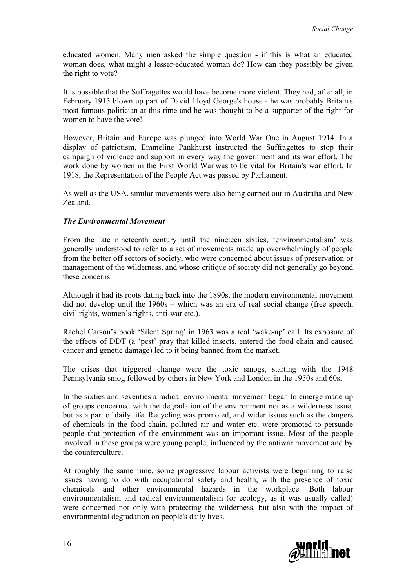educated women. Many men asked the simple question - if this is what an educated woman does, what might a lesser-educated woman do? How can they possibly be given the right to vote?

It is possible that the Suffragettes would have become more violent. They had, after all, in February 1913 blown up part of David Lloyd George's house - he was probably Britain's most famous politician at this time and he was thought to be a supporter of the right for women to have the vote!

However, Britain and Europe was plunged into World War One in August 1914. In a display of patriotism, Emmeline Pankhurst instructed the Suffragettes to stop their campaign of violence and support in every way the government and its war effort. The work done by women in the [First World War](http://www.historylearningsite.co.uk/women_in_world_war_one.htm) was to be vital for Britain's war effort. In 1918, the [Representation of the People Act](http://www.historylearningsite.co.uk/1918_representation_of_the_peopl.htm) was passed by Parliament.

As well as the USA, similar movements were also being carried out in Australia and New Zealand.

## *The Environmental Movement*

From the late nineteenth century until the nineteen sixties, 'environmentalism' was generally understood to refer to a set of movements made up overwhelmingly of people from the better off sectors of society, who were concerned about issues of preservation or management of the wilderness, and whose critique of society did not generally go beyond these concerns.

Although it had its roots dating back into the 1890s, the modern environmental movement did not develop until the 1960s – which was an era of real social change (free speech, civil rights, women's rights, anti-war etc.).

Rachel Carson's book 'Silent Spring' in 1963 was a real 'wake-up' call. Its exposure of the effects of DDT (a 'pest' pray that killed insects, entered the food chain and caused cancer and genetic damage) led to it being banned from the market.

The crises that triggered change were the toxic smogs, starting with the 1948 Pennsylvania smog followed by others in New York and London in the 1950s and 60s.

In the sixties and seventies a radical environmental movement began to emerge made up of groups concerned with the degradation of the environment not as a wilderness issue, but as a part of daily life. Recycling was promoted, and wider issues such as the dangers of chemicals in the food chain, polluted air and water etc. were promoted to persuade people that protection of the environment was an important issue. Most of the people involved in these groups were young people, influenced by the antiwar movement and by the counterculture.

At roughly the same time, some progressive labour activists were beginning to raise issues having to do with occupational safety and health, with the presence of toxic chemicals and other environmental hazards in the workplace. Both labour environmentalism and radical environmentalism (or ecology, as it was usually called) were concerned not only with protecting the wilderness, but also with the impact of environmental degradation on people's daily lives.

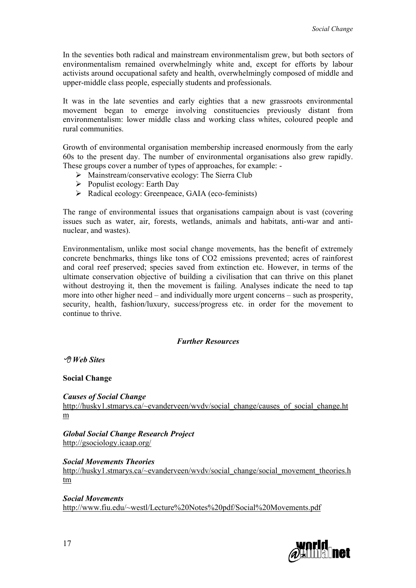In the seventies both radical and mainstream environmentalism grew, but both sectors of environmentalism remained overwhelmingly white and, except for efforts by labour activists around occupational safety and health, overwhelmingly composed of middle and upper-middle class people, especially students and professionals.

It was in the late seventies and early eighties that a new grassroots environmental movement began to emerge involving constituencies previously distant from environmentalism: lower middle class and working class whites, coloured people and rural communities.

Growth of environmental organisation membership increased enormously from the early 60s to the present day. The number of environmental organisations also grew rapidly. These groups cover a number of types of approaches, for example: -

- $\triangleright$  Mainstream/conservative ecology: The Sierra Club
- $\triangleright$  Populist ecology: Earth Day
- Radical ecology: Greenpeace, GAIA (eco-feminists)

The range of environmental issues that organisations campaign about is vast (covering issues such as water, air, forests, wetlands, animals and habitats, anti-war and antinuclear, and wastes).

Environmentalism, unlike most social change movements, has the benefit of extremely concrete benchmarks, things like tons of CO2 emissions prevented; acres of rainforest and coral reef preserved; species saved from extinction etc. However, in terms of the ultimate conservation objective of building a civilisation that can thrive on this planet without destroying it, then the movement is failing. Analyses indicate the need to tap more into other higher need – and individually more urgent concerns – such as prosperity, security, health, fashion/luxury, success/progress etc. in order for the movement to continue to thrive.

#### *Further Resources*

 *Web Sites*

**Social Change**

*Causes of Social Change* [http://husky1.stmarys.ca/~evanderveen/wvdv/social\\_change/causes\\_of\\_social\\_change.ht](http://husky1.stmarys.ca/~evanderveen/wvdv/social_change/causes_of_social_change.htm) m

*Global Social Change Research Project* <http://gsociology.icaap.org/>

# *Social Movements Theories*

[http://husky1.stmarys.ca/~evanderveen/wvdv/social\\_change/social\\_movement\\_theories.h](http://husky1.stmarys.ca/~evanderveen/wvdv/social_change/social_movement_theories.htm) [tm](http://husky1.stmarys.ca/~evanderveen/wvdv/social_change/social_movement_theories.htm)

*Social Movements* [http://www.fiu.edu/~westl/Lecture%20Notes%20pdf/Social%20Movements.pdf](http://www.fiu.edu/~westl/Lecture Notes pdf/Social Movements.pdf)